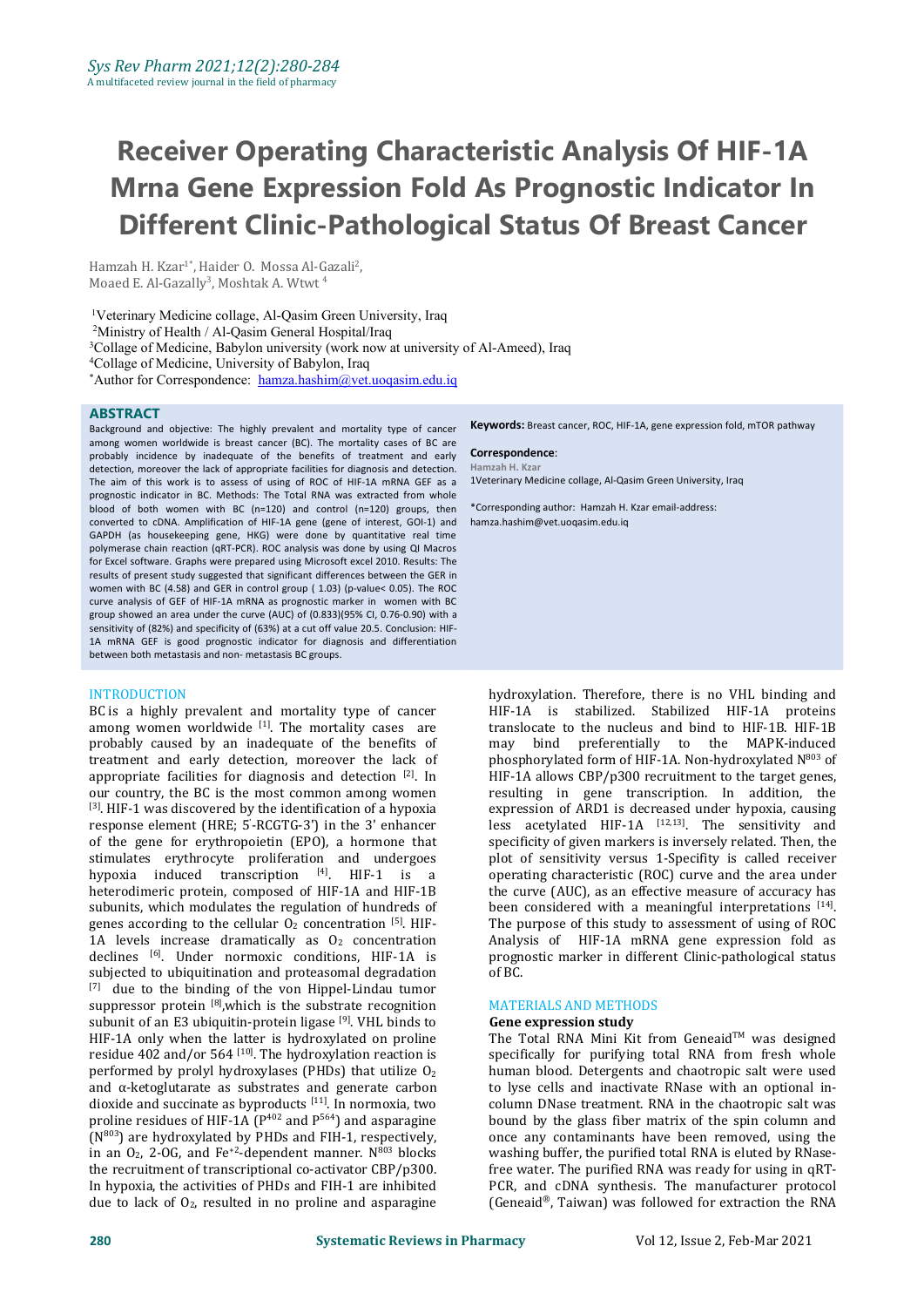# **Receiver Operating Characteristic Analysis Of HIF-1A Mrna Gene Expression Fold As Prognostic Indicator In Different Clinic-Pathological Status Of Breast Cancer**

Hamzah H. Kzar $^{\rm 1*}$ , Haider O. Mossa Al-Gazali $^{\rm 2}$ ,  $\mathcal{F}^{\text{max}}_{\text{max}}$ Moaed E. Al-Gazally<sup>3</sup>, Moshtak A. Wtwt <sup>4</sup>

<sup>1</sup>Veterinary Medicine collage, Al-Qasim Green University, Iraq

<sup>2</sup>Ministry of Health / Al-Qasim General Hospital/Iraq

<sup>3</sup>Collage of Medicine, Babylon university (work now at university of Al-Ameed), Iraq

<sup>4</sup>Collage of Medicine, University of Babylon, Iraq

\*Author for Correspondence: [hamza.hashim@vet.uoqasim.edu.iq](mailto:hamza14shukri72@gmail.com)

#### **ABSTRACT**

Background and objective: The highly prevalent and mortality type of cancer among women worldwide is breast cancer (BC). The mortality cases of BC are probably incidence by inadequate of the benefits of treatment and early detection, moreover the lack of appropriate facilities for diagnosis and detection. The aim of this work is to assess of using of ROC of HIF-1A mRNA GEF as a prognostic indicator in BC. Methods: The Total RNA was extracted from whole blood of both women with BC (n=120) and control (n=120) groups, then converted to cDNA. Amplification of HIF-1A gene (gene of interest, GOI-1) and GAPDH (as housekeeping gene, HKG) were done by quantitative real time polymerase chain reaction (qRT-PCR). ROC analysis was done by using QIMacros for Excel software. Graphs were prepared using Microsoft excel 2010. Results: The results of present study suggested that significant differences between the GER in women with BC (4.58) and GER in control group (1.03) (p-value< 0.05). The ROC curve analysis of GEF of HIF-1A mRNA as prognostic marker in women with BC group showed an area under the curve (AUC) of (0.833)(95% CI, 0.76-0.90) with a sensitivity of (82%) and specificity of (63%) at a cut off value 20.5. Conclusion: HIF- 1A mRNA GEFis good prognostic indicator for diagnosis and differentiation between both metastasis and non- metastasis BC groups.

#### INTRODUCTION

BC is a highly prevalent and mortality type of cancer among women worldwide <sup>[1]</sup>. The mortality cases are translocate t probably caused by an inadequate of the benefits of treatment and early detection, moreover the lack of appropriate facilities for diagnosis and detection  $^{[2]}$ . In  $\qquad \qquad$  HIF-1A a our country, the BC is the most common among women  $^{[3]}$ . HIF-1 was discovered by the identification of a hypoxia  $\qquad \qquad$  expression o response element (HRE; 5'-RCGTG-3') in the 3' enhancer less ace of the gene for erythropoietin (EPO), a hormone that stimulates erythrocyte proliferation and undergoes hypoxia induced transcription <sup>[4]</sup>. HIF-1 is a soperating-ch heterodimeric protein, composed of HIF-1A and HIF-1B subunits, which modulates the regulation of hundreds of genes according to the cellular  $O_2$  concentration  $[5]$ . HIF- The purify 1A levels increase dramatically as  $O<sub>2</sub>$  concentration declines <sup>[6]</sup>. Under normoxic conditions, HIF-1A is a prognostic-main subjected to ubiquitination and proteasomal degradation [7] due to the binding of the von Hippel-Lindau tumor suppressor protein  $^{[8]}$ , which is the substrate recognition MATERIALS AN subunit of an E3 ubiquitin-protein ligase <sup>[9]</sup>. VHL binds to **Gene express**i HIF-1A onlywhen the latter is hydroxylated on proline residue 402 and/or 564<sup> [10]</sup>. The hydroxylation reaction is specifically fo performed by prolyl hydroxylases (PHDs) that utilize  $O<sub>2</sub>$ and α-ketoglutarate as substrates and generate carbon dioxide and succinate as byproducts  $[11]$ . In normoxia, two column DNase proline residues of HIF-1A ( $P^{402}$  and  $P^{564}$ ) and asparagine bound by th  $(N<sup>803</sup>)$  are hydroxylated by PHDs and FIH-1, respectively, in an  $O_2$ , 2-OG, and  $Fe^{+2}$ -dependent manner.  $N^{803}$  blocks washing bu the recruitment of transcriptional co-activator CBP/p300. In hypoxia, the activities of PHDs and FIH-1 are inhibited due to lack of  $O<sub>2</sub>$ , resulted in no proline and asparagine

**Keywords:** Breast cancer, ROC, HIF-1A, gene expression fold, mTOR pathway

#### **Correspondence**:

**Hamzah H. Kzar** 1Veterinary Medicine collage, Al-Qasim Green University, Iraq

\*Corresponding author: Hamzah H. Kzar email-address: hamza.hashim@vet.uoqasim.edu.iq

. In HIF-1A allows CBP/p300 recruitment to the target genes, hydroxylation. Therefore, there is no VHL binding and HIF-1A is stabilized. Stabilized HIF-1A proteins translocate to the nucleus and bind to HIF-1B. HIF-1B may bind preferentially to the MAPK-induced phosphorylated form of HIF-1A. Non-hydroxylated N <sup>803</sup> of resulting in gene transcription. In addition, the expression of ARD1 is decreased under hypoxia, causing less acetylated HIF-1A <sup>[12,13]</sup>. The sensitivity and specificity of given markers is inversely related. Then, the plot of sensitivity versus 1-Specifity is called receiver operating characteristic (ROC) curve and the area under the curve (AUC), as an effective measure of accuracy has been considered with a meaningful interpretations  $[14]$ . . The purpose of this study to assessment of using of ROC Analysis of HIF-1A mRNA gene expression fold as prognostic marker in different Clinic-pathological status of BC.

#### MATERIALS AND METHODS

#### **Gene expression study**

The Total RNA Mini Kit from Geneaid™ was designed specifically for purifying total RNA from fresh whole human blood. Detergents and chaotropic salt were used to lyse cells and inactivate RNase with an optional in column DNase treatment. RNA in the chaotropic salt was bound by the glass fiber matrix of the spin column and once any contaminants have been removed, using the washing buffer, the purified total RNA is eluted by RNasefree water. The purified RNA was ready for using in qRT- PCR, and cDNA synthesis. The manufacturer protocol (Geneaid ®, Taiwan) was followed for extraction the RNA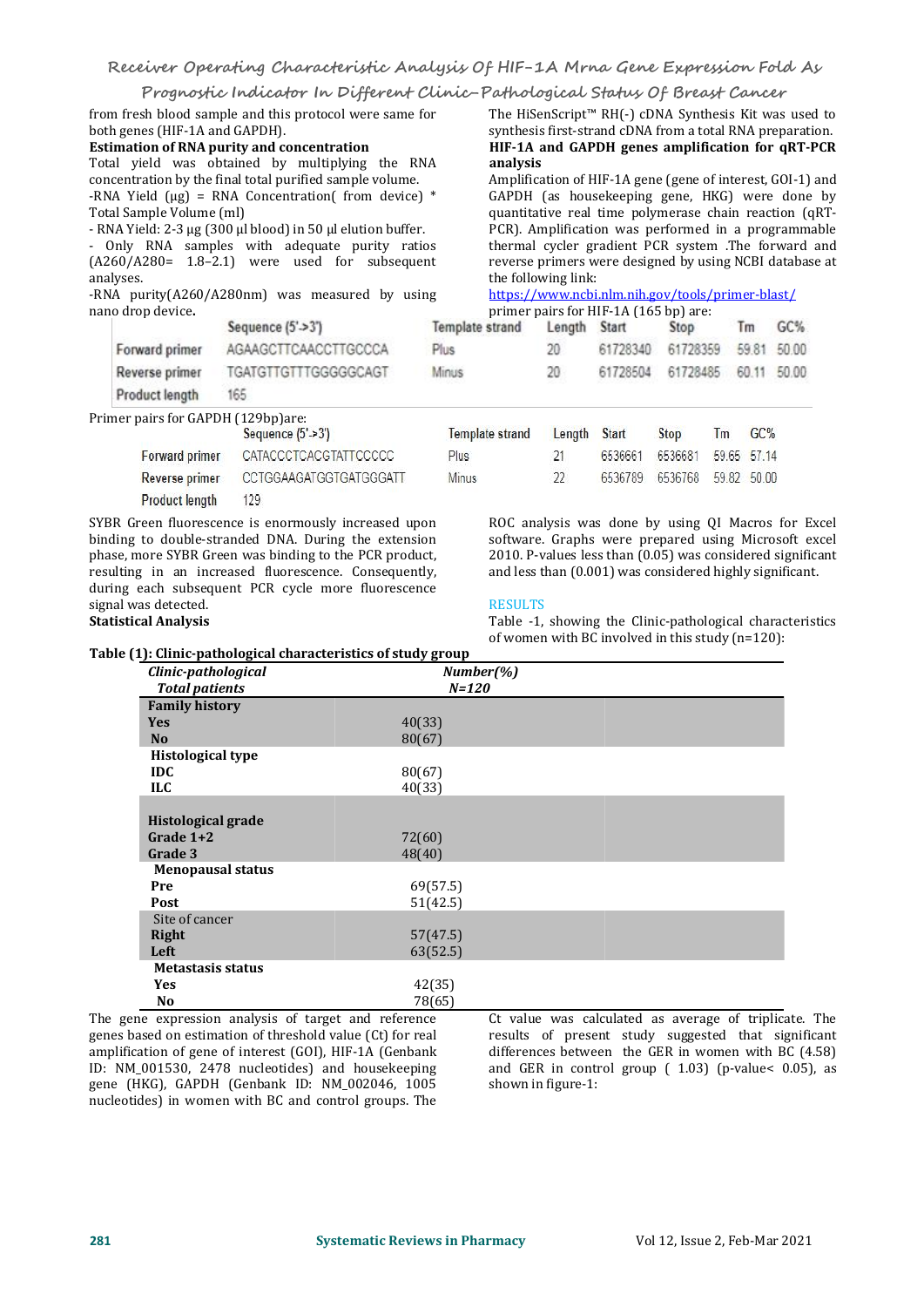# **Prognostic Indicator In Different Clinic-Pathological Status Of Breast Cancer**

## **Estimation of RNA purity and concentration**

Total yield was obtained by multiplying the RNA concentration by the final total purified sample volume. -RNA Yield  $(\mu g)$  = RNA Concentration( from device) \* Total Sample Volume (ml)

- RNA Yield: 2-3 μg (300 μl blood) in 50 μl elution buffer.

- Only RNA samples with adequate purity ratios  $(A260/A280= 1.8-2.1)$  were used for subsequent analyses.

-RNA purity(A260/A280nm) was measured by using  $\frac{\text{https://www.ncbi.nlm.nih.gov/tools}}{\text{m} \cdot \text{m} \cdot \text{m} \cdot \text{m} \cdot \text{m} \cdot \text{m} \cdot \text{m} \cdot \text{m} \cdot \text{m} \cdot \text{m} \cdot \text{m} \cdot \text{m}}$ nano drop device**.**

from fresh blood sample and this protocol were same for The HiSenScript<sup>™</sup> RH(-) cDNA Synthesis Kit was used to<br>both genes (HIF-1A and GAPDH). synthesis first-strand cDNA from a total RNA preparation. The HiSenScript™ RH(-) cDNA Synthesis Kit was used to synthesis first-strand cDNA from <sup>a</sup> total RNA preparation. **HIF-1A and GAPDH genes amplification for qRT-PCR analysis**

> Amplification of HIF-1A gene (gene of interest, GOI-1) and GAPDH (as housekeeping gene, HKG) were done by quantitative real time polymerase chain reaction (qRT- PCR). Amplification was performed in a programmable thermal cycler gradient PCR system .The forward and reverse primers were designed by using NCBI database at the following link:

# <https://www.ncbi.nlm.nih.gov/tools/primer-blast/>

| o drop device. | primer pairs for HIF-1A (165 bp) are: |                 |              |          |                      |    |     |
|----------------|---------------------------------------|-----------------|--------------|----------|----------------------|----|-----|
|                | Sequence $(5'$ ->3")                  | Template strand | Length Start |          | Stop                 | Tm | GC% |
| Forward primer | AGAAGCTTCAACCTTGCCCA                  | Plus            | 20           | 61728340 | 61728359 59.81 50.00 |    |     |
| Reverse primer | TGATGTTGTTTGGGGGCAGT                  | Minus           | 20           | 61728504 | 61728485 60.11 50.00 |    |     |
| Product length | 165                                   |                 |              |          |                      |    |     |
|                |                                       |                 |              |          |                      |    |     |

Primer pairs for GAPDH (129bp)are:

|                       | Sequence $(5 - 5)$           | lemplate |
|-----------------------|------------------------------|----------|
| <b>Forward primer</b> | <b>CATACCCTCACGTATTCCCCC</b> | Plus     |
| Reverse primer        | CCTGGAAGATGGTGATGGGATT       | Minus    |
| <b>Product length</b> | 129                          |          |

binding to double-stranded DNA. During the extension phase, more SYBR Green was binding to the PCR product, resulting in an increased fluorescence. Consequently, during each subsequent PCR cycle more fluorescence signal was detected. **Statistical Analysis** 

| <b>Template strand</b> | Length Start | Stop                        | Tm | GC% |
|------------------------|--------------|-----------------------------|----|-----|
| Plus                   | -21          | 6536661 6536681 59.65 57.14 |    |     |
| <b>Minus</b>           | 22           | 6536789 6536768 59.82 50.00 |    |     |

SYBR Green fluorescence is enormously increased upon a ROC analysis was done by using OI Macros for Excel software. Graphs were prepared using Microsoft excel 2010. P-values less than (0.05) was considered significant and less than (0.001) was considered highly significant.

# RESULTS

Table -1, showing the Clinic-pathological characteristics of women with BC involved in this study (n=120):

|                          | of women with bo myorved in this study (n-140).<br>Table (1): Clinic-pathological characteristics of study group |
|--------------------------|------------------------------------------------------------------------------------------------------------------|
| Clinic-pathological      | $Number(\% )$                                                                                                    |
| <b>Total patients</b>    | $N = 120$                                                                                                        |
| <b>Family history</b>    |                                                                                                                  |
| Yes                      | 40(33)                                                                                                           |
| N <sub>o</sub>           | 80(67)                                                                                                           |
| <b>Histological type</b> |                                                                                                                  |
| <b>IDC</b>               | 80(67)                                                                                                           |
| <b>ILC</b>               | 40(33)                                                                                                           |
| Histological grade       |                                                                                                                  |
| Grade $1+2$              | 72(60)                                                                                                           |
| Grade 3                  | 48(40)                                                                                                           |
| <b>Menopausal status</b> |                                                                                                                  |
| Pre                      | 69(57.5)                                                                                                         |
| Post                     | 51(42.5)                                                                                                         |
| Site of cancer           |                                                                                                                  |
| <b>Right</b>             | 57(47.5)                                                                                                         |
| Left                     | 63(52.5)                                                                                                         |
| <b>Metastasis status</b> |                                                                                                                  |
| Yes                      | 42(35)                                                                                                           |
| No                       | 78(65)                                                                                                           |

The gene expression analysis of target and reference genes based on estimation of threshold value (Ct) for real amplification of gene of interest (GOI), HIF-1A (Genbank ID: NM\_001530, 2478 nucleotides) and housekeeping gene (HKG), GAPDH (Genbank ID: NM\_002046, 1005 nucleotides) in women with BC and control groups. The

Ct value was calculated as average of triplicate. The results of present study suggested that significant differences between the GER in women with BC (4.58) and GER in control group ( 1.03) (p-value< 0.05), as shown in figure-1: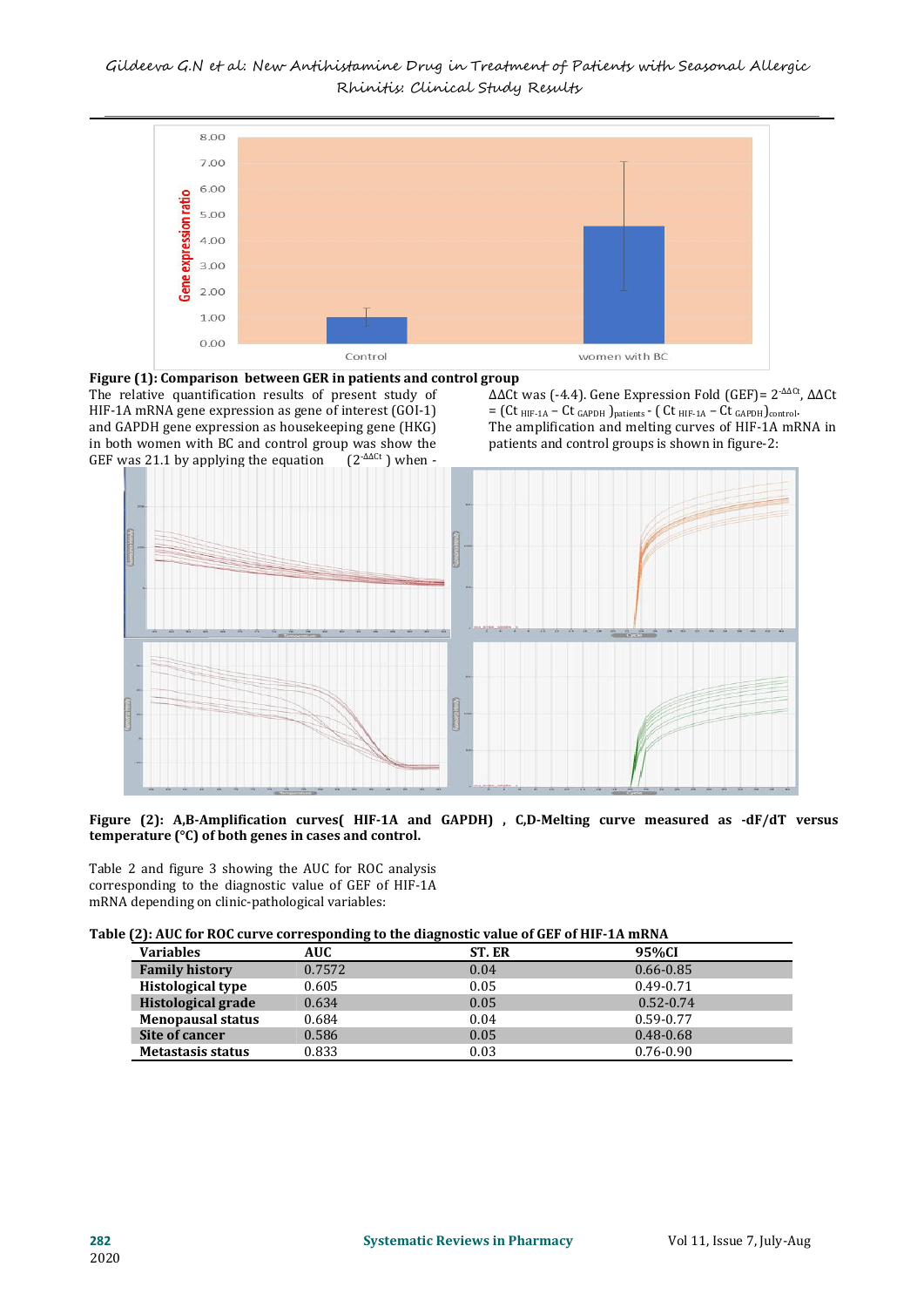# Gildeeva G.N et al: New Antihistamine Drug in Treatment of Patients with Seasonal Allergic Rhinitis: Clinical Study Results





= AΔCt was (-4.4). Gene Expression Fold (GEF)= 2<sup>-AΔC</sup>t AΔCt rest (GOI-1) = (Ct HIF-1A - Ct <sub>GAPDH</sub>)<sub>patients</sub> - (Ct HIF-1A - Ct <sub>GAPDH</sub>)<sub>control</sub>.<br>
z gene (HKG) The amplification and melting curves of HIF-1A mRNA in pat  $-\Delta\Delta$ Ct,  $\Delta\Delta$ Ct = (Ct HIF-1A – Ct GAPDH )patients - ( Ct HIF-1A – Ct GAPDH)control. The amplification and melting curves of HIF-1A mRNA in patients and control groups is shown in figure-2:



### **Figure (2): A,B-Amplification curves( HIF-1A and GAPDH) , C,D-Melting curve measured as -dF/dT versus temperature (°C) of both genes in cases and control.**

Table 2 and figure 3 showing the AUC for ROC analysis corresponding to the diagnostic value of GEF of HIF-1A mRNA depending on clinic-pathological variables:

# **Table (2): AUC for ROC curve corresponding to the diagnostic value of GEF of HIF-1A mRNA**

| <b>Variables</b>         | AUC    | ST. ER | 95%CI         |  |
|--------------------------|--------|--------|---------------|--|
| <b>Family history</b>    | 0.7572 | 0.04   | $0.66 - 0.85$ |  |
| <b>Histological type</b> | 0.605  | 0.05   | $0.49 - 0.71$ |  |
| Histological grade       | 0.634  | 0.05   | $0.52 - 0.74$ |  |
| <b>Menopausal status</b> | 0.684  | 0.04   | $0.59 - 0.77$ |  |
| Site of cancer           | 0.586  | 0.05   | $0.48 - 0.68$ |  |
| <b>Metastasis status</b> | 0.833  | 0.03   | $0.76 - 0.90$ |  |
|                          |        |        |               |  |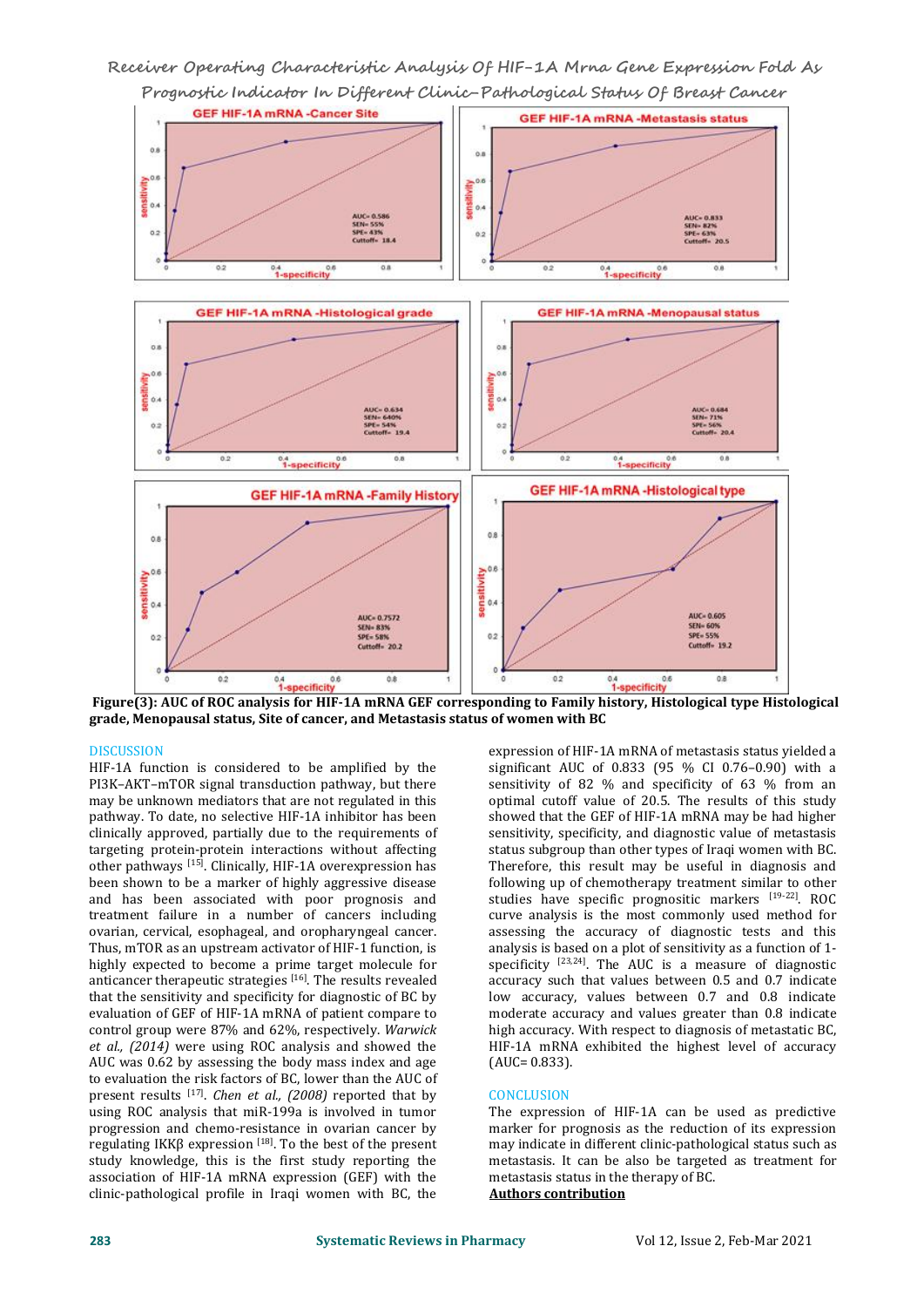# **Receiver Operating Characteristic Analysis Of HIF-1A Mrna Gene Expression Fold As Prognostic Indicator In Different Clinic-Pathological Status Of Breast Cancer**



Figure (3): AUC of ROC analysis for HIF-1A mRNA GEF corresponding to Family history, Histological type Histological **grade, Menopausal status, Site of cancer, and Metastasis status of women with BC**

DISCUSSION HIF-1A function is considered to be amplified by the PI3K–AKT–mTOR signal transduction pathway, but there may be unknown mediators that are not regulated in this pathway. To date, no selective HIF-1A inhibitor has been clinically approved, partially due to the requirements of targeting protein-protein interactions without affecting other pathways <sup>[15]</sup>. Clinically, HIF-1A overexpression has Therefore, been shown to be a marker of highly aggressive disease and has been associated with poor prognosis and treatment failure in a number of cancers including ovarian, cervical, esophageal, and oropharyngeal cancer. Thus, mTOR as an upstream activator of HIF-1 function, is highly expected to become a prime target molecule for anticancer therapeutic strategies <sup>[16]</sup>. The results revealed accuracy such t that the sensitivity and specificity for diagnostic of BC by evaluation of GEF of HIF-1A mRNA of patient compare to control group were 87% and 62%, respectively. *Warwick et al., (2014)* were using ROC analysis and showed the AUC was 0.62 by assessing the body mass index and age to evaluation the risk factors of BC, lower than the AUC of<br>present results  $^{[17]}$  Chen et al. (2008) reported that by CONCLUSION present results [17] . *Chen et al., (2008)* reported that by using ROC analysis that miR-199a is involved in tumor progression and chemo-resistance in ovarian cancer by regulating IKKβ expression <sup>[18]</sup>. To the best of the present may in study knowledge, this is the first study reporting the association of HIF-1A mRNA expression (GEF) with the metastasis status in the clinic-pathological profile in Iraqi women with BC, the **Authors contribution** clinic-pathological profile in Iraqi women with BC, the

expression of HIF-1A mRNA of metastasis status yielded a significant AUC of 0.833 (95 % CI 0.76–0.90) with a sensitivity of 82 % and specificity of 63 % from an optimal cutoff value of 20.5. The results of this study showed that the GEF of HIF-1A mRNA may be had higher sensitivity, specificity, and diagnostic value of metastasis status subgroup than other types of Iraqi women with BC. Therefore, this result may be useful in diagnosis and following up of chemotherapy treatment similar to other studies have specific prognositic markers <sup>[19-22]</sup>. ROC curve analysis is the most commonly used method for assessing the accuracy of diagnostic tests and this analysis is based on a plot of sensitivity as a function of 1 specificity [23,24] . The AUC is a measure of diagnostic accuracy such that values between 0.5 and 0.7 indicate low accuracy, values between 0.7 and 0.8 indicate moderate accuracy and values greater than 0.8 indicate high accuracy. With respect to diagnosis of metastatic BC, HIF-1A mRNA exhibited the highest level of accuracy (AUC= 0.833).

# CONCLUSION

The expression of HIF-1A can be used as predictive marker for prognosis as the reduction of its expression may indicate in different clinic-pathological status such as metastasis. It can be also be targeted as treatment for metastasis status in the therapy of BC.